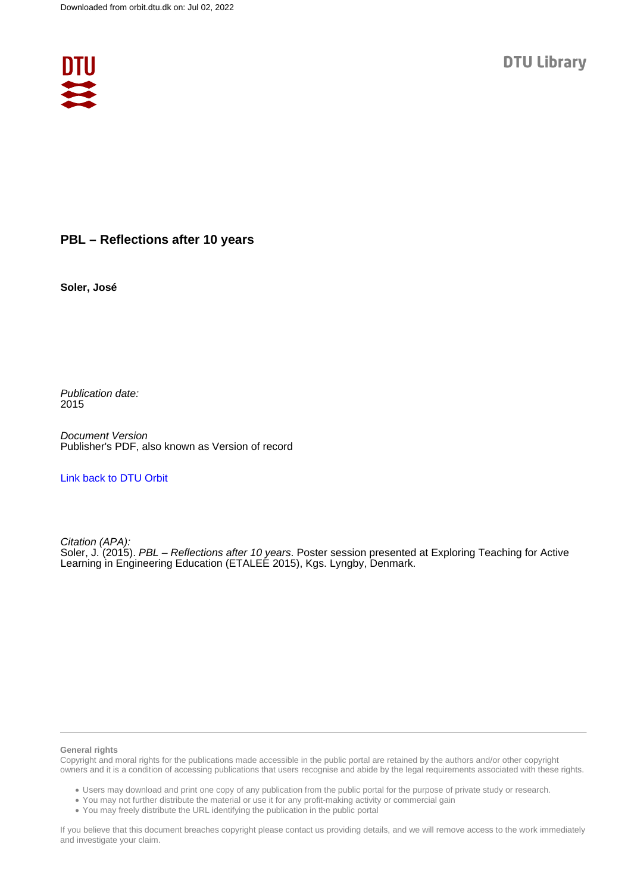

## **PBL – Reflections after 10 years**

**Soler, José**

Publication date: 2015

Document Version Publisher's PDF, also known as Version of record

[Link back to DTU Orbit](https://orbit.dtu.dk/en/publications/792e34f0-a688-407a-b733-29760487728c)

Citation (APA): Soler, J. (2015). PBL – Reflections after 10 years. Poster session presented at Exploring Teaching for Active Learning in Engineering Education (ETALEE 2015), Kgs. Lyngby, Denmark.

## **General rights**

Copyright and moral rights for the publications made accessible in the public portal are retained by the authors and/or other copyright owners and it is a condition of accessing publications that users recognise and abide by the legal requirements associated with these rights.

Users may download and print one copy of any publication from the public portal for the purpose of private study or research.

- You may not further distribute the material or use it for any profit-making activity or commercial gain
- You may freely distribute the URL identifying the publication in the public portal

If you believe that this document breaches copyright please contact us providing details, and we will remove access to the work immediately and investigate your claim.